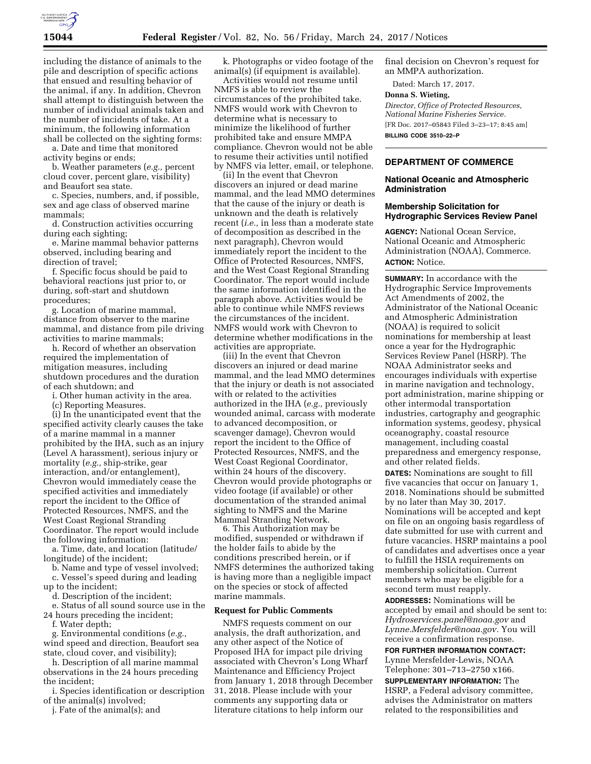

including the distance of animals to the pile and description of specific actions that ensued and resulting behavior of the animal, if any. In addition, Chevron shall attempt to distinguish between the number of individual animals taken and the number of incidents of take. At a minimum, the following information shall be collected on the sighting forms:

a. Date and time that monitored activity begins or ends;

b. Weather parameters (*e.g.,* percent cloud cover, percent glare, visibility) and Beaufort sea state.

c. Species, numbers, and, if possible, sex and age class of observed marine mammals;

d. Construction activities occurring during each sighting;

e. Marine mammal behavior patterns observed, including bearing and direction of travel;

f. Specific focus should be paid to behavioral reactions just prior to, or during, soft-start and shutdown procedures;

g. Location of marine mammal, distance from observer to the marine mammal, and distance from pile driving activities to marine mammals;

h. Record of whether an observation required the implementation of mitigation measures, including shutdown procedures and the duration of each shutdown; and

i. Other human activity in the area.

(c) Reporting Measures.

(i) In the unanticipated event that the specified activity clearly causes the take of a marine mammal in a manner prohibited by the IHA, such as an injury (Level A harassment), serious injury or mortality (*e.g.,* ship-strike, gear interaction, and/or entanglement), Chevron would immediately cease the specified activities and immediately report the incident to the Office of Protected Resources, NMFS, and the West Coast Regional Stranding Coordinator. The report would include the following information:

a. Time, date, and location (latitude/ longitude) of the incident;

b. Name and type of vessel involved; c. Vessel's speed during and leading

up to the incident;

d. Description of the incident;

e. Status of all sound source use in the 24 hours preceding the incident;

f. Water depth;

g. Environmental conditions (*e.g.,*  wind speed and direction, Beaufort sea state, cloud cover, and visibility);

h. Description of all marine mammal observations in the 24 hours preceding the incident;

i. Species identification or description of the animal(s) involved;

j. Fate of the animal(s); and

k. Photographs or video footage of the animal(s) (if equipment is available).

Activities would not resume until NMFS is able to review the circumstances of the prohibited take. NMFS would work with Chevron to determine what is necessary to minimize the likelihood of further prohibited take and ensure MMPA compliance. Chevron would not be able to resume their activities until notified by NMFS via letter, email, or telephone.

(ii) In the event that Chevron discovers an injured or dead marine mammal, and the lead MMO determines that the cause of the injury or death is unknown and the death is relatively recent (*i.e.,* in less than a moderate state of decomposition as described in the next paragraph), Chevron would immediately report the incident to the Office of Protected Resources, NMFS, and the West Coast Regional Stranding Coordinator. The report would include the same information identified in the paragraph above. Activities would be able to continue while NMFS reviews the circumstances of the incident. NMFS would work with Chevron to determine whether modifications in the activities are appropriate.

(iii) In the event that Chevron discovers an injured or dead marine mammal, and the lead MMO determines that the injury or death is not associated with or related to the activities authorized in the IHA (*e.g.,* previously wounded animal, carcass with moderate to advanced decomposition, or scavenger damage), Chevron would report the incident to the Office of Protected Resources, NMFS, and the West Coast Regional Coordinator, within 24 hours of the discovery. Chevron would provide photographs or video footage (if available) or other documentation of the stranded animal sighting to NMFS and the Marine Mammal Stranding Network.

6. This Authorization may be modified, suspended or withdrawn if the holder fails to abide by the conditions prescribed herein, or if NMFS determines the authorized taking is having more than a negligible impact on the species or stock of affected marine mammals.

### **Request for Public Comments**

NMFS requests comment on our analysis, the draft authorization, and any other aspect of the Notice of Proposed IHA for impact pile driving associated with Chevron's Long Wharf Maintenance and Efficiency Project from January 1, 2018 through December 31, 2018. Please include with your comments any supporting data or literature citations to help inform our

final decision on Chevron's request for an MMPA authorization.

Dated: March 17, 2017.

### **Donna S. Wieting,**

*Director, Office of Protected Resources, National Marine Fisheries Service.*  [FR Doc. 2017–05843 Filed 3–23–17; 8:45 am] **BILLING CODE 3510–22–P** 

#### **DEPARTMENT OF COMMERCE**

### **National Oceanic and Atmospheric Administration**

### **Membership Solicitation for Hydrographic Services Review Panel**

**AGENCY:** National Ocean Service, National Oceanic and Atmospheric Administration (NOAA), Commerce. **ACTION:** Notice.

**SUMMARY:** In accordance with the Hydrographic Service Improvements Act Amendments of 2002, the Administrator of the National Oceanic and Atmospheric Administration (NOAA) is required to solicit nominations for membership at least once a year for the Hydrographic Services Review Panel (HSRP). The NOAA Administrator seeks and encourages individuals with expertise in marine navigation and technology, port administration, marine shipping or other intermodal transportation industries, cartography and geographic information systems, geodesy, physical oceanography, coastal resource management, including coastal preparedness and emergency response, and other related fields.

**DATES:** Nominations are sought to fill five vacancies that occur on January 1, 2018. Nominations should be submitted by no later than May 30, 2017. Nominations will be accepted and kept on file on an ongoing basis regardless of date submitted for use with current and future vacancies. HSRP maintains a pool of candidates and advertises once a year to fulfill the HSIA requirements on membership solicitation. Current members who may be eligible for a second term must reapply.

**ADDRESSES:** Nominations will be accepted by email and should be sent to: *[Hydroservices.panel@noaa.gov](mailto:Hydroservices.panel@noaa.gov)* and *[Lynne.Mersfelder@noaa.gov.](mailto:Lynne.Mersfelder@noaa.gov)* You will receive a confirmation response.

**FOR FURTHER INFORMATION CONTACT:**  Lynne Mersfelder-Lewis, NOAA Telephone: 301–713–2750 x166.

**SUPPLEMENTARY INFORMATION:** The HSRP, a Federal advisory committee, advises the Administrator on matters related to the responsibilities and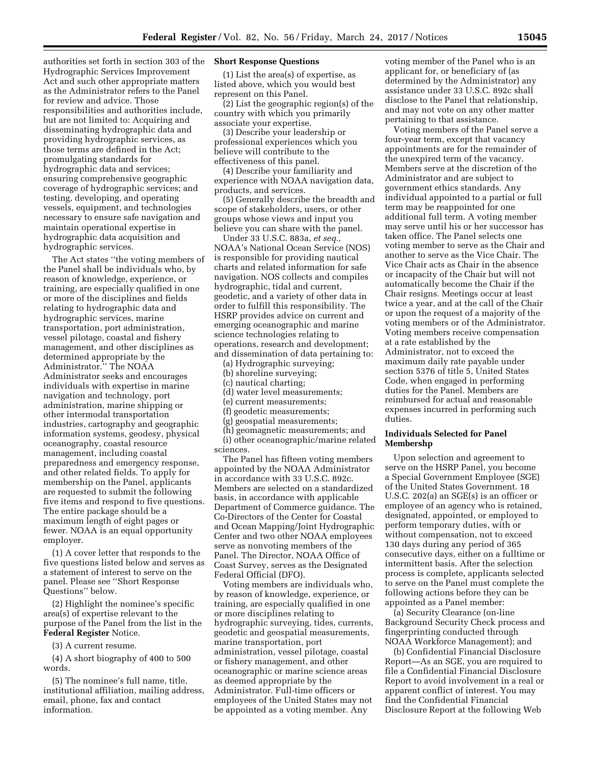authorities set forth in section 303 of the Hydrographic Services Improvement Act and such other appropriate matters as the Administrator refers to the Panel for review and advice. Those responsibilities and authorities include, but are not limited to: Acquiring and disseminating hydrographic data and providing hydrographic services, as those terms are defined in the Act; promulgating standards for hydrographic data and services; ensuring comprehensive geographic coverage of hydrographic services; and testing, developing, and operating vessels, equipment, and technologies necessary to ensure safe navigation and maintain operational expertise in hydrographic data acquisition and hydrographic services.

The Act states ''the voting members of the Panel shall be individuals who, by reason of knowledge, experience, or training, are especially qualified in one or more of the disciplines and fields relating to hydrographic data and hydrographic services, marine transportation, port administration, vessel pilotage, coastal and fishery management, and other disciplines as determined appropriate by the Administrator.'' The NOAA Administrator seeks and encourages individuals with expertise in marine navigation and technology, port administration, marine shipping or other intermodal transportation industries, cartography and geographic information systems, geodesy, physical oceanography, coastal resource management, including coastal preparedness and emergency response, and other related fields. To apply for membership on the Panel, applicants are requested to submit the following five items and respond to five questions. The entire package should be a maximum length of eight pages or fewer. NOAA is an equal opportunity employer.

(1) A cover letter that responds to the five questions listed below and serves as a statement of interest to serve on the panel. Please see ''Short Response Questions'' below.

(2) Highlight the nominee's specific area(s) of expertise relevant to the purpose of the Panel from the list in the **Federal Register** Notice.

(3) A current resume.

(4) A short biography of 400 to 500 words.

(5) The nominee's full name, title, institutional affiliation, mailing address, email, phone, fax and contact information.

### **Short Response Questions**

(1) List the area(s) of expertise, as listed above, which you would best represent on this Panel.

(2) List the geographic region(s) of the country with which you primarily associate your expertise.

(3) Describe your leadership or professional experiences which you believe will contribute to the effectiveness of this panel.

(4) Describe your familiarity and experience with NOAA navigation data, products, and services.

(5) Generally describe the breadth and scope of stakeholders, users, or other groups whose views and input you believe you can share with the panel.

Under 33 U.S.C. 883a, *et seq.,*  NOAA's National Ocean Service (NOS) is responsible for providing nautical charts and related information for safe navigation. NOS collects and compiles hydrographic, tidal and current, geodetic, and a variety of other data in order to fulfill this responsibility. The HSRP provides advice on current and emerging oceanographic and marine science technologies relating to operations, research and development; and dissemination of data pertaining to:

(a) Hydrographic surveying;

(b) shoreline surveying;

(c) nautical charting;

(d) water level measurements;

(e) current measurements;

(f) geodetic measurements;

(g) geospatial measurements;

(h) geomagnetic measurements; and (i) other oceanographic/marine related sciences.

The Panel has fifteen voting members appointed by the NOAA Administrator in accordance with 33 U.S.C. 892c. Members are selected on a standardized basis, in accordance with applicable Department of Commerce guidance. The Co-Directors of the Center for Coastal and Ocean Mapping/Joint Hydrographic Center and two other NOAA employees serve as nonvoting members of the Panel. The Director, NOAA Office of Coast Survey, serves as the Designated Federal Official (DFO).

Voting members are individuals who, by reason of knowledge, experience, or training, are especially qualified in one or more disciplines relating to hydrographic surveying, tides, currents, geodetic and geospatial measurements, marine transportation, port administration, vessel pilotage, coastal or fishery management, and other oceanographic or marine science areas as deemed appropriate by the Administrator. Full-time officers or employees of the United States may not be appointed as a voting member. Any

voting member of the Panel who is an applicant for, or beneficiary of (as determined by the Administrator) any assistance under 33 U.S.C. 892c shall disclose to the Panel that relationship, and may not vote on any other matter pertaining to that assistance.

Voting members of the Panel serve a four-year term, except that vacancy appointments are for the remainder of the unexpired term of the vacancy. Members serve at the discretion of the Administrator and are subject to government ethics standards. Any individual appointed to a partial or full term may be reappointed for one additional full term. A voting member may serve until his or her successor has taken office. The Panel selects one voting member to serve as the Chair and another to serve as the Vice Chair. The Vice Chair acts as Chair in the absence or incapacity of the Chair but will not automatically become the Chair if the Chair resigns. Meetings occur at least twice a year, and at the call of the Chair or upon the request of a majority of the voting members or of the Administrator. Voting members receive compensation at a rate established by the Administrator, not to exceed the maximum daily rate payable under section 5376 of title 5, United States Code, when engaged in performing duties for the Panel. Members are reimbursed for actual and reasonable expenses incurred in performing such duties.

### **Individuals Selected for Panel Membershp**

Upon selection and agreement to serve on the HSRP Panel, you become a Special Government Employee (SGE) of the United States Government. 18 U.S.C. 202(a) an SGE(s) is an officer or employee of an agency who is retained, designated, appointed, or employed to perform temporary duties, with or without compensation, not to exceed 130 days during any period of 365 consecutive days, either on a fulltime or intermittent basis. After the selection process is complete, applicants selected to serve on the Panel must complete the following actions before they can be appointed as a Panel member:

(a) Security Clearance (on-line Background Security Check process and fingerprinting conducted through NOAA Workforce Management); and

(b) Confidential Financial Disclosure Report—As an SGE, you are required to file a Confidential Financial Disclosure Report to avoid involvement in a real or apparent conflict of interest. You may find the Confidential Financial Disclosure Report at the following Web